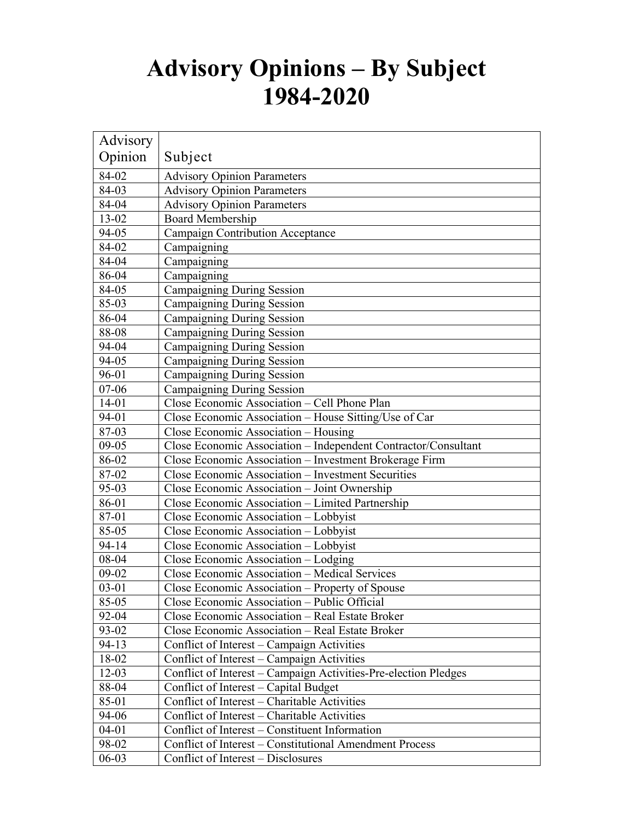## **Advisory Opinions – By Subject 1984-2020**

| Advisory  |                                                                 |
|-----------|-----------------------------------------------------------------|
| Opinion   | Subject                                                         |
| 84-02     | <b>Advisory Opinion Parameters</b>                              |
| 84-03     | <b>Advisory Opinion Parameters</b>                              |
| 84-04     | <b>Advisory Opinion Parameters</b>                              |
| 13-02     | <b>Board Membership</b>                                         |
| 94-05     | <b>Campaign Contribution Acceptance</b>                         |
| 84-02     | Campaigning                                                     |
| 84-04     | Campaigning                                                     |
| 86-04     | Campaigning                                                     |
| 84-05     | Campaigning During Session                                      |
| 85-03     | Campaigning During Session                                      |
| 86-04     | Campaigning During Session                                      |
| 88-08     | Campaigning During Session                                      |
| 94-04     | Campaigning During Session                                      |
| 94-05     | Campaigning During Session                                      |
| 96-01     | <b>Campaigning During Session</b>                               |
| $07 - 06$ | Campaigning During Session                                      |
| $14 - 01$ | Close Economic Association - Cell Phone Plan                    |
| 94-01     | Close Economic Association - House Sitting/Use of Car           |
| 87-03     | Close Economic Association - Housing                            |
| $09 - 05$ | Close Economic Association - Independent Contractor/Consultant  |
| 86-02     | Close Economic Association - Investment Brokerage Firm          |
| 87-02     | Close Economic Association - Investment Securities              |
| 95-03     | Close Economic Association - Joint Ownership                    |
| 86-01     | Close Economic Association - Limited Partnership                |
| 87-01     | Close Economic Association - Lobbyist                           |
| 85-05     | Close Economic Association - Lobbyist                           |
| 94-14     | Close Economic Association - Lobbyist                           |
| 08-04     | Close Economic Association - Lodging                            |
| $09 - 02$ | Close Economic Association - Medical Services                   |
| $03 - 01$ | Close Economic Association - Property of Spouse                 |
| 85-05     | Close Economic Association – Public Official                    |
| 92-04     | Close Economic Association – Real Estate Broker                 |
| 93-02     | Close Economic Association - Real Estate Broker                 |
| $94-13$   | Conflict of Interest – Campaign Activities                      |
| 18-02     | Conflict of Interest - Campaign Activities                      |
| $12 - 03$ | Conflict of Interest - Campaign Activities-Pre-election Pledges |
| 88-04     | Conflict of Interest – Capital Budget                           |
| 85-01     | Conflict of Interest - Charitable Activities                    |
| 94-06     | Conflict of Interest – Charitable Activities                    |
| $04 - 01$ | Conflict of Interest - Constituent Information                  |
| 98-02     | Conflict of Interest – Constitutional Amendment Process         |
| $06-03$   | Conflict of Interest – Disclosures                              |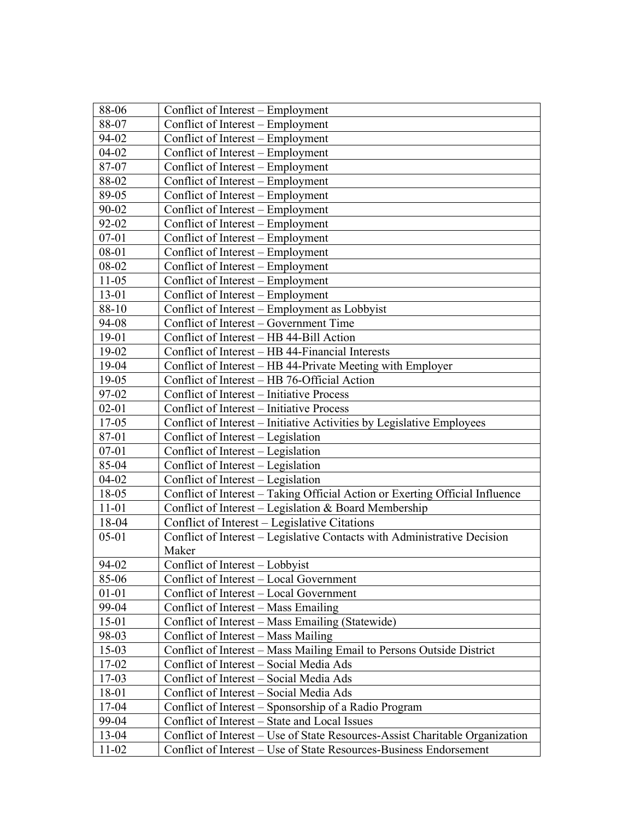| 88-06<br>Conflict of Interest – Employment                                            |  |
|---------------------------------------------------------------------------------------|--|
| 88-07<br>Conflict of Interest – Employment                                            |  |
| Conflict of Interest - Employment<br>94-02                                            |  |
| $04 - 02$<br>Conflict of Interest – Employment                                        |  |
| 87-07<br>Conflict of Interest – Employment                                            |  |
| 88-02<br>Conflict of Interest - Employment                                            |  |
| 89-05<br>Conflict of Interest – Employment                                            |  |
| 90-02<br>Conflict of Interest - Employment                                            |  |
| 92-02<br>Conflict of Interest – Employment                                            |  |
| $07 - 01$<br>Conflict of Interest - Employment                                        |  |
| $08 - 01$<br>Conflict of Interest – Employment                                        |  |
| 08-02<br>Conflict of Interest – Employment                                            |  |
| $11 - 05$<br>Conflict of Interest - Employment                                        |  |
| 13-01<br>Conflict of Interest – Employment                                            |  |
| 88-10<br>Conflict of Interest – Employment as Lobbyist                                |  |
| 94-08<br>Conflict of Interest – Government Time                                       |  |
| Conflict of Interest - HB 44-Bill Action<br>19-01                                     |  |
| 19-02<br>Conflict of Interest - HB 44-Financial Interests                             |  |
| 19-04<br>Conflict of Interest - HB 44-Private Meeting with Employer                   |  |
| 19-05<br>Conflict of Interest - HB 76-Official Action                                 |  |
| 97-02<br>Conflict of Interest - Initiative Process                                    |  |
| $02 - 01$<br>Conflict of Interest - Initiative Process                                |  |
| Conflict of Interest - Initiative Activities by Legislative Employees<br>17-05        |  |
| 87-01<br>Conflict of Interest – Legislation                                           |  |
| $07 - 01$<br>Conflict of Interest – Legislation                                       |  |
| 85-04<br>Conflict of Interest – Legislation                                           |  |
| $04 - 02$<br>Conflict of Interest - Legislation                                       |  |
| Conflict of Interest - Taking Official Action or Exerting Official Influence<br>18-05 |  |
| Conflict of Interest - Legislation & Board Membership<br>$11 - 01$                    |  |
| Conflict of Interest - Legislative Citations<br>18-04                                 |  |
| Conflict of Interest - Legislative Contacts with Administrative Decision<br>$05 - 01$ |  |
| Maker                                                                                 |  |
| 94-02<br>Conflict of Interest - Lobbyist                                              |  |
| Conflict of Interest - Local Government<br>85-06                                      |  |
| $01 - 01$<br>Conflict of Interest - Local Government                                  |  |
| 99-04<br>Conflict of Interest – Mass Emailing                                         |  |
| $15-01$<br>Conflict of Interest – Mass Emailing (Statewide)                           |  |
| 98-03<br>Conflict of Interest - Mass Mailing                                          |  |
| $15-03$<br>Conflict of Interest – Mass Mailing Email to Persons Outside District      |  |
| $17-02$<br>Conflict of Interest – Social Media Ads                                    |  |
| $17-03$<br>Conflict of Interest - Social Media Ads                                    |  |
| 18-01<br>Conflict of Interest - Social Media Ads                                      |  |
| 17-04<br>Conflict of Interest – Sponsorship of a Radio Program                        |  |
| Conflict of Interest – State and Local Issues<br>99-04                                |  |
| 13-04<br>Conflict of Interest - Use of State Resources-Assist Charitable Organization |  |
| $11 - 02$<br>Conflict of Interest – Use of State Resources-Business Endorsement       |  |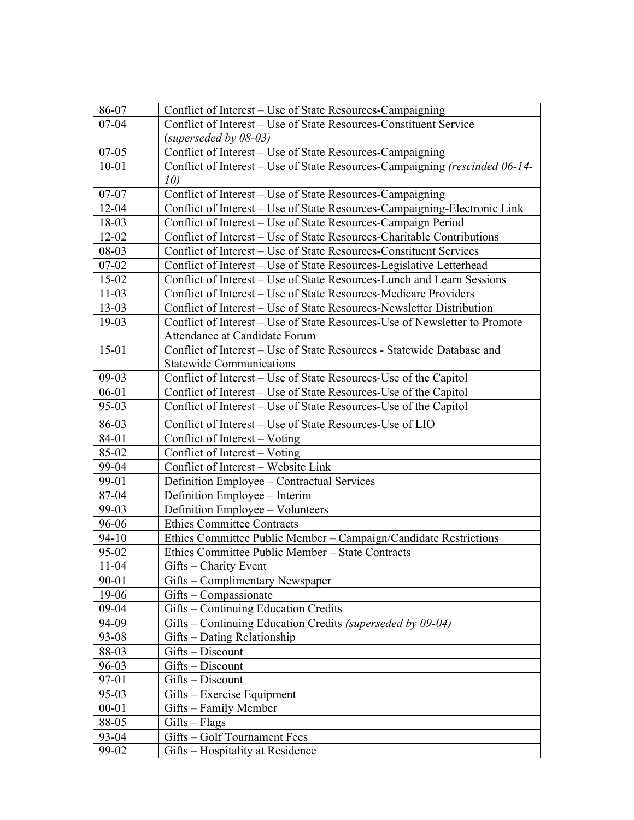| 86-07     | Conflict of Interest – Use of State Resources-Campaigning                   |
|-----------|-----------------------------------------------------------------------------|
| $07 - 04$ | Conflict of Interest – Use of State Resources-Constituent Service           |
|           | $(superseeded by 08-03)$                                                    |
| $07 - 05$ | Conflict of Interest - Use of State Resources-Campaigning                   |
| $10 - 01$ | Conflict of Interest – Use of State Resources-Campaigning (rescinded 06-14- |
|           | 10)                                                                         |
| $07 - 07$ | Conflict of Interest – Use of State Resources-Campaigning                   |
| $12 - 04$ | Conflict of Interest - Use of State Resources-Campaigning-Electronic Link   |
| 18-03     | Conflict of Interest – Use of State Resources-Campaign Period               |
| 12-02     | Conflict of Interest - Use of State Resources-Charitable Contributions      |
| 08-03     | Conflict of Interest – Use of State Resources-Constituent Services          |
| $07 - 02$ | Conflict of Interest – Use of State Resources-Legislative Letterhead        |
| $15 - 02$ | Conflict of Interest – Use of State Resources-Lunch and Learn Sessions      |
| $11-03$   | Conflict of Interest - Use of State Resources-Medicare Providers            |
| 13-03     | Conflict of Interest – Use of State Resources-Newsletter Distribution       |
| 19-03     | Conflict of Interest – Use of State Resources-Use of Newsletter to Promote  |
|           | Attendance at Candidate Forum                                               |
| $15-01$   | Conflict of Interest - Use of State Resources - Statewide Database and      |
|           | <b>Statewide Communications</b>                                             |
| $09-03$   | Conflict of Interest – Use of State Resources-Use of the Capitol            |
| $06 - 01$ | Conflict of Interest – Use of State Resources-Use of the Capitol            |
| 95-03     | Conflict of Interest – Use of State Resources-Use of the Capitol            |
| 86-03     | Conflict of Interest - Use of State Resources-Use of LIO                    |
| 84-01     | Conflict of Interest – Voting                                               |
| 85-02     | Conflict of Interest - Voting                                               |
| 99-04     | Conflict of Interest - Website Link                                         |
| 99-01     | Definition Employee - Contractual Services                                  |
| 87-04     | Definition Employee - Interim                                               |
| 99-03     | Definition Employee - Volunteers                                            |
| 96-06     | <b>Ethics Committee Contracts</b>                                           |
| 94-10     | Ethics Committee Public Member - Campaign/Candidate Restrictions            |
| 95-02     | Ethics Committee Public Member - State Contracts                            |
| $11-04$   | Gifts – Charity Event                                                       |
| 90-01     | Gifts - Complimentary Newspaper                                             |
| 19-06     | $Giffs - Compassionate$                                                     |
| 09-04     | Gifts - Continuing Education Credits                                        |
| 94-09     | Gifts - Continuing Education Credits (superseded by 09-04)                  |
| 93-08     | Gifts – Dating Relationship                                                 |
| 88-03     | Gifts - Discount                                                            |
| 96-03     | Gifts - Discount                                                            |
| 97-01     | Gifts - Discount                                                            |
| 95-03     | Gifts – Exercise Equipment                                                  |
| $00 - 01$ | Gifts - Family Member                                                       |
| 88-05     | $Gifts - Flags$                                                             |
| 93-04     | Gifts - Golf Tournament Fees                                                |
| 99-02     | Gifts - Hospitality at Residence                                            |
|           |                                                                             |